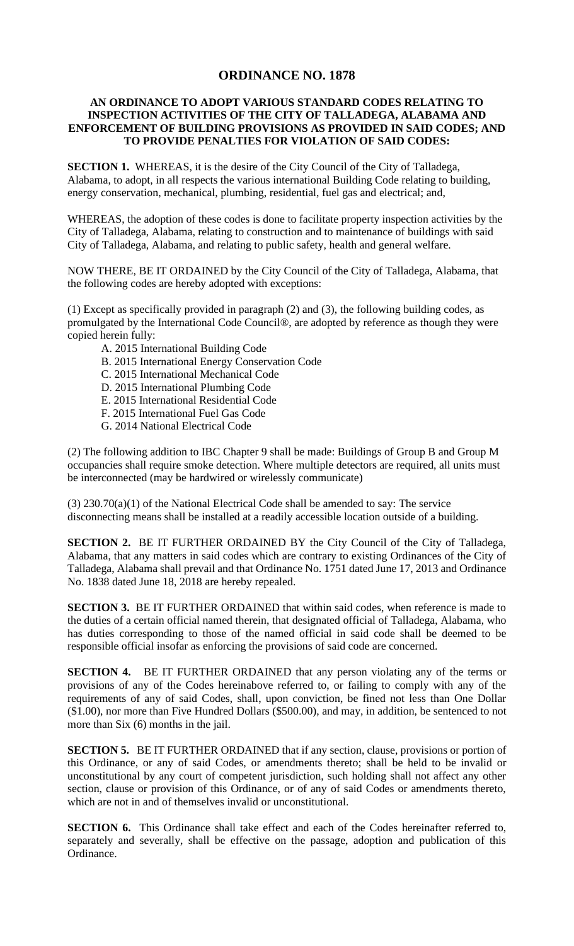## **ORDINANCE NO. 1878**

## **AN ORDINANCE TO ADOPT VARIOUS STANDARD CODES RELATING TO INSPECTION ACTIVITIES OF THE CITY OF TALLADEGA, ALABAMA AND ENFORCEMENT OF BUILDING PROVISIONS AS PROVIDED IN SAID CODES; AND TO PROVIDE PENALTIES FOR VIOLATION OF SAID CODES:**

**SECTION 1.** WHEREAS, it is the desire of the City Council of the City of Talladega, Alabama, to adopt, in all respects the various international Building Code relating to building, energy conservation, mechanical, plumbing, residential, fuel gas and electrical; and,

WHEREAS, the adoption of these codes is done to facilitate property inspection activities by the City of Talladega, Alabama, relating to construction and to maintenance of buildings with said City of Talladega, Alabama, and relating to public safety, health and general welfare.

NOW THERE, BE IT ORDAINED by the City Council of the City of Talladega, Alabama, that the following codes are hereby adopted with exceptions:

(1) Except as specifically provided in paragraph (2) and (3), the following building codes, as promulgated by the International Code Council®, are adopted by reference as though they were copied herein fully:

- A. 2015 International Building Code
- B. 2015 International Energy Conservation Code
- C. 2015 International Mechanical Code
- D. 2015 International Plumbing Code
- E. 2015 International Residential Code
- F. 2015 International Fuel Gas Code
- G. 2014 National Electrical Code

(2) The following addition to IBC Chapter 9 shall be made: Buildings of Group B and Group M occupancies shall require smoke detection. Where multiple detectors are required, all units must be interconnected (may be hardwired or wirelessly communicate)

(3) 230.70(a)(1) of the National Electrical Code shall be amended to say: The service disconnecting means shall be installed at a readily accessible location outside of a building.

**SECTION 2.** BE IT FURTHER ORDAINED BY the City Council of the City of Talladega, Alabama, that any matters in said codes which are contrary to existing Ordinances of the City of Talladega, Alabama shall prevail and that Ordinance No. 1751 dated June 17, 2013 and Ordinance No. 1838 dated June 18, 2018 are hereby repealed.

**SECTION 3.** BE IT FURTHER ORDAINED that within said codes, when reference is made to the duties of a certain official named therein, that designated official of Talladega, Alabama, who has duties corresponding to those of the named official in said code shall be deemed to be responsible official insofar as enforcing the provisions of said code are concerned.

**SECTION 4.** BE IT FURTHER ORDAINED that any person violating any of the terms or provisions of any of the Codes hereinabove referred to, or failing to comply with any of the requirements of any of said Codes, shall, upon conviction, be fined not less than One Dollar (\$1.00), nor more than Five Hundred Dollars (\$500.00), and may, in addition, be sentenced to not more than Six (6) months in the jail.

**SECTION 5.** BE IT FURTHER ORDAINED that if any section, clause, provisions or portion of this Ordinance, or any of said Codes, or amendments thereto; shall be held to be invalid or unconstitutional by any court of competent jurisdiction, such holding shall not affect any other section, clause or provision of this Ordinance, or of any of said Codes or amendments thereto, which are not in and of themselves invalid or unconstitutional.

**SECTION 6.** This Ordinance shall take effect and each of the Codes hereinafter referred to, separately and severally, shall be effective on the passage, adoption and publication of this Ordinance.